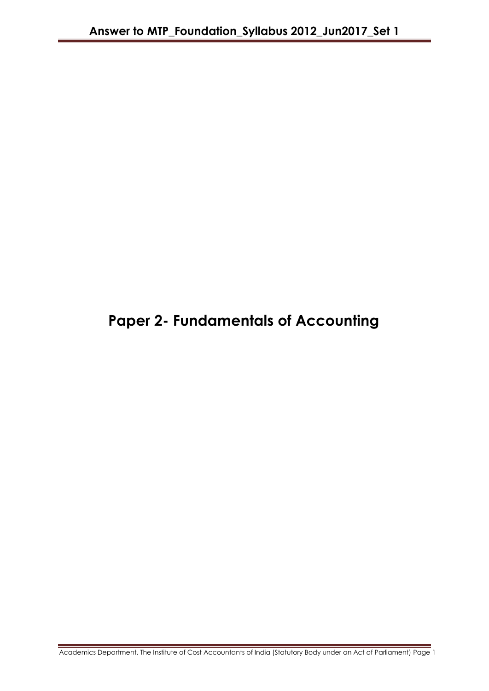# **Paper 2- Fundamentals of Accounting**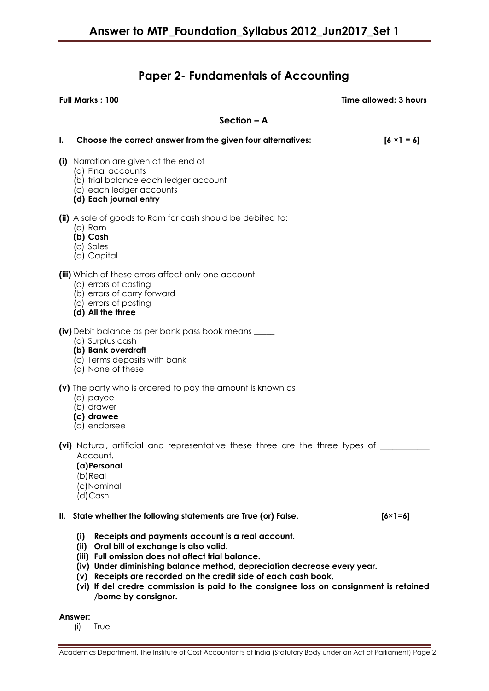# **Paper 2- Fundamentals of Accounting**

**Full Marks : 100 Time allowed: 3 hours**

# **Section – A**

| $\mathbf{l}$ . | Choose the correct answer from the given four alternatives:                                                                                                                                                                               | $[6 \times 1 = 6]$ |
|----------------|-------------------------------------------------------------------------------------------------------------------------------------------------------------------------------------------------------------------------------------------|--------------------|
|                | (i) Narration are given at the end of<br>(a) Final accounts<br>(b) trial balance each ledger account<br>(c) each ledger accounts<br>(d) Each journal entry                                                                                |                    |
|                | (ii) A sale of goods to Ram for cash should be debited to:<br>$(a)$ Ram<br>(b) Cash<br>(c) Sales<br>(d) Capital                                                                                                                           |                    |
|                | (iii) Which of these errors affect only one account<br>(a) errors of casting<br>(b) errors of carry forward<br>(c) errors of posting<br>(d) All the three                                                                                 |                    |
|                | <b>(iv)</b> Debit balance as per bank pass book means _____<br>(a) Surplus cash<br>(b) Bank overdraft<br>(c) Terms deposits with bank<br>(d) None of these                                                                                |                    |
|                | (v) The party who is ordered to pay the amount is known as<br>(a) payee<br>(b) drawer<br>(c) drawee<br>(d) endorsee                                                                                                                       |                    |
|                | (vi) Natural, artificial and representative these three are the three types of ___<br>Account.<br>(a) Personal<br>(b) Real<br>(c)Nominal<br>(d)Cash                                                                                       |                    |
| II.            | State whether the following statements are True (or) False.                                                                                                                                                                               | $[6 \times 1 = 6]$ |
|                | (i)<br>Receipts and payments account is a real account.<br>Oral bill of exchange is also valid.<br>(ii)<br>(iii) Full omission does not affect trial balance.<br>(iv) Under diminishing balance method, depreciation decrease every year. |                    |

- **(v) Receipts are recorded on the credit side of each cash book.**
- **(vi) If del credre commission is paid to the consignee loss on consignment is retained /borne by consignor.**

# **Answer:**

(i) True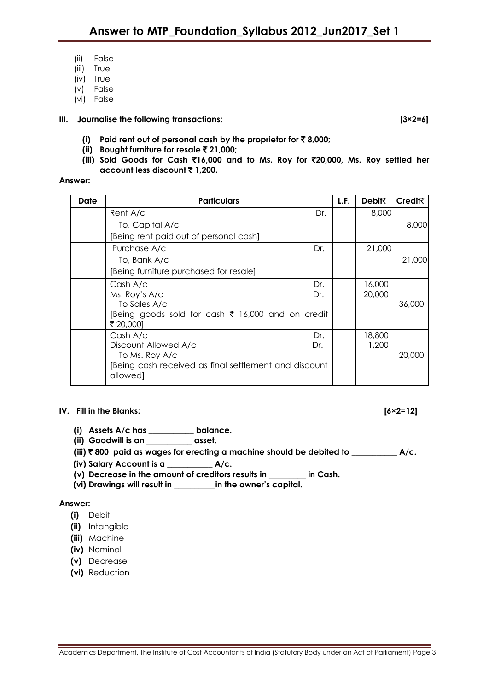- (ii) False
- (iii) True
- (iv) True
- (v) False
- (vi) False

# **III. Journalise the following transactions: [3×2=6]**

- **(i) Paid rent out of personal cash by the proprietor for** ` **8,000;**
- **(ii) Bought furniture for resale** ` **21,000;**
- **(iii) Sold Goods for Cash** `**16,000 and to Ms. Roy for** `**20,000, Ms. Roy settled her account less discount** ` **1,200.**

# **Answer:**

| Date | <b>Particulars</b>                                               |     | L.F. | Debil₹ | <b>Creditt</b> |
|------|------------------------------------------------------------------|-----|------|--------|----------------|
|      | Rent A/c                                                         | Dr. |      | 8,000  |                |
|      | To, Capital A/c                                                  |     |      |        | 8,000          |
|      | [Being rent paid out of personal cash]                           |     |      |        |                |
|      | Purchase A/c                                                     | Dr. |      | 21,000 |                |
|      | To, Bank A/c                                                     |     |      |        | 21,000         |
|      | [Being furniture purchased for resale]                           |     |      |        |                |
|      | Cash A/c                                                         | Dr. |      | 16,000 |                |
|      | Ms. Roy's A/c                                                    | Dr. |      | 20,000 |                |
|      | To Sales A/c                                                     |     |      |        | 36,000         |
|      | [Being goods sold for cash ₹ 16,000 and on credit<br>₹ 20,000]   |     |      |        |                |
|      | Cash A/c                                                         | Dr. |      | 18,800 |                |
|      | Discount Allowed A/c<br>Dr.                                      |     |      | 1,200  |                |
|      | To Ms. Roy A/c                                                   |     |      |        | 20,000         |
|      | Being cash received as final settlement and discount<br>allowed] |     |      |        |                |

# **IV. Fill in the Blanks: [6×2=12]**

- **(i) Assets A/c has \_\_\_\_\_\_\_\_\_\_\_ balance.**
- **(ii) Goodwill is an \_\_\_\_\_\_\_\_\_\_\_ asset.**
- **(iii)** ` **800 paid as wages for erecting a machine should be debited to \_\_\_\_\_\_\_\_\_\_\_ A/c.**
- **(iv) Salary Account is a \_\_\_\_\_\_\_\_\_\_\_ A/c.**
- **(v) Decrease in the amount of creditors results in \_\_\_\_\_\_\_\_\_ in Cash.**
- **(vi) Drawings will result in \_\_\_\_\_\_\_\_\_\_in the owner's capital.**

# **Answer:**

- **(i)** Debit
- **(ii)** Intangible
- **(iii)** Machine
- **(iv)** Nominal
- **(v)** Decrease
- **(vi)** Reduction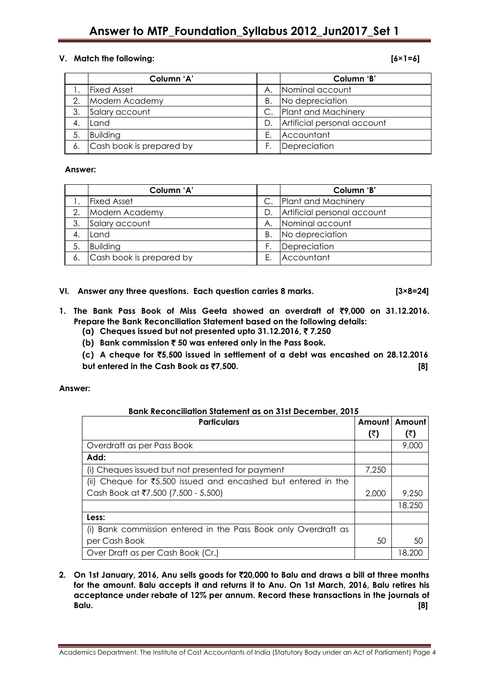# **V. Match the following: [6×1=6]**

|    | Column 'A'               |             | Column 'B'                  |
|----|--------------------------|-------------|-----------------------------|
|    | <b>Fixed Asset</b>       | А.          | Nominal account             |
| 2. | Modern Academy           | Β.          | No depreciation             |
| 3. | Salary account           | $C_{\cdot}$ | Plant and Machinery         |
|    | Land                     | D.          | Artificial personal account |
| 5. | <b>Building</b>          | Ε.          | Accountant                  |
|    | Cash book is prepared by |             | Depreciation                |

# **Answer:**

|     | Column 'A'               |    | Column 'B'                  |
|-----|--------------------------|----|-----------------------------|
|     | <b>Fixed Asset</b>       |    | Plant and Machinery         |
| 2.  | Modern Academy           | D. | Artificial personal account |
| 3.  | Salary account           | А. | Nominal account             |
|     | Land                     | Β. | No depreciation             |
| -5. | <b>Building</b>          |    | Depreciation                |
| 6.  | Cash book is prepared by | Е. | Accountant                  |

**VI. Answer any three questions. Each question carries 8 marks. [3×8=24]**

# **1. The Bank Pass Book of Miss Geeta showed an overdraft of** `**9,000 on 31.12.2016. Prepare the Bank Reconciliation Statement based on the following details:**

- **(a) Cheques issued but not presented upto 31.12.2016,** ` **7,250**
- **(b) Bank commission** ` **50 was entered only in the Pass Book.**
- **(c) A cheque for** `**5,500 issued in settlement of a debt was encashed on 28.12.2016 but entered in the Cash Book as ₹7,500. In the set of the Cash Book as ₹7,500. I**

# **Answer:**

| <b>Bank Reconciliation Statement as on 31st December, 2015</b>             |       |               |  |  |  |
|----------------------------------------------------------------------------|-------|---------------|--|--|--|
| <b>Particulars</b>                                                         |       | Amount Amount |  |  |  |
|                                                                            | (₹)   | (₹)           |  |  |  |
| Overdraft as per Pass Book                                                 |       | 9,000         |  |  |  |
| Add:                                                                       |       |               |  |  |  |
| (i) Cheques issued but not presented for payment                           | 7,250 |               |  |  |  |
| (ii) Cheque for $\overline{5}5.500$ issued and encashed but entered in the |       |               |  |  |  |
| Cash Book at ₹7,500 (7,500 - 5,500)                                        | 2,000 | 9,250         |  |  |  |
|                                                                            |       | 18,250        |  |  |  |
| Less:                                                                      |       |               |  |  |  |
| Bank commission entered in the Pass Book only Overdraft as<br>(1)          |       |               |  |  |  |
| per Cash Book                                                              | 50    | 50            |  |  |  |
| Over Draft as per Cash Book (Cr.)                                          |       | 18,200        |  |  |  |

**2. On 1st January, 2016, Anu sells goods for** `**20,000 to Balu and draws a bill at three months for the amount. Balu accepts it and returns it to Anu. On 1st March, 2016, Balu retires his acceptance under rebate of 12% per annum. Record these transactions in the journals of Balu. [8]**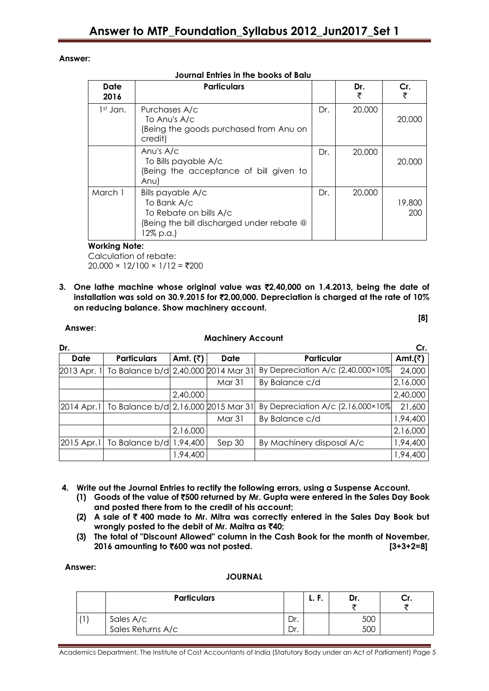# **Answer:**

| Date<br>2016 | <b>Particulars</b>                                                                                                   |     | Dr.<br>₹ | Cr.<br>₹      |  |  |  |  |
|--------------|----------------------------------------------------------------------------------------------------------------------|-----|----------|---------------|--|--|--|--|
| $1st$ Jan.   | Purchases A/c<br>To Anu's A/c<br>Being the goods purchased from Anu on<br>credit)                                    | Dr. | 20,000   | 20,000        |  |  |  |  |
|              | Anu's $A/c$<br>To Bills payable A/c<br>(Being the acceptance of bill given to<br>Anu)                                | Dr. | 20,000   | 20,000        |  |  |  |  |
| March 1      | Bills payable A/c<br>To Bank A/c<br>To Rebate on bills A/c<br>(Being the bill discharged under rebate @<br>12% p.a.) | Dr. | 20,000   | 19,800<br>200 |  |  |  |  |

# **Journal Entries in the books of Balu**

# **Working Note:**

Calculation of rebate:  $20,000 \times 12/100 \times 1/12 = ₹200$ 

**3. One lathe machine whose original value was** `**2,40,000 on 1.4.2013, being the date of installation was sold on 30.9.2015 for** `**2,00,000. Depreciation is charged at the rate of 10% on reducing balance. Show machinery account.** 

| <b>Machinery Account</b> |                                                   |            |             |                                            |                  |  |  |  |
|--------------------------|---------------------------------------------------|------------|-------------|--------------------------------------------|------------------|--|--|--|
| Dr.                      |                                                   |            |             |                                            | Cr.              |  |  |  |
| Date                     | <b>Particulars</b>                                | Amt. $(3)$ | <b>Date</b> | Particular                                 | Amt. $(\bar{z})$ |  |  |  |
|                          | 2013 Apr. 1 To Balance b/d 2,40,000 2014 Mar 31   |            |             | By Depreciation A/c $(2,40,000\times10\%)$ | 24,000           |  |  |  |
|                          |                                                   |            | Mar 31      | By Balance c/d                             | 2,16,000         |  |  |  |
|                          |                                                   | 2,40,000   |             |                                            | 2,40,000         |  |  |  |
|                          | 2014 Apr. 1   To Balance b/d 2,16,000 2015 Mar 31 |            |             | By Depreciation A/c $(2,16,000\times10\%)$ | 21,600           |  |  |  |
|                          |                                                   |            | Mar 31      | By Balance c/d                             | 1,94,400         |  |  |  |
|                          |                                                   | 2,16,000   |             |                                            | 2,16,000         |  |  |  |
|                          | 2015 Apr. 1   To Balance b/d 1,94,400             |            | Sep 30      | By Machinery disposal A/c                  | 1,94,400         |  |  |  |
|                          |                                                   | 1,94,400   |             |                                            | 1,94,400         |  |  |  |

**4. Write out the Journal Entries to rectify the following errors, using a Suspense Account.**

- **(1) Goods of the value of** `**500 returned by Mr. Gupta were entered in the Sales Day Book and posted there from to the credit of his account;**
- **(2) A sale of** ` **400 made to Mr. Mitra was correctly entered in the Sales Day Book but wrongly posted to the debit of Mr. Maitra as** `**40;**
- **(3) The total of "Discount Allowed" column in the Cash Book for the month of November, 2016 amounting to** `**600 was not posted. [3+3+2=8]**

# **Answer:**

**Answer**:

# **JOURNAL**

| <b>Particulars</b>             |     | . . | Dr. |  |
|--------------------------------|-----|-----|-----|--|
| Sales A/c<br>Sales Returns A/c | Dr. |     | 500 |  |
|                                | Dr. |     | 50C |  |

Academics Department, The Institute of Cost Accountants of India (Statutory Body under an Act of Parliament) Page 5

**[8]**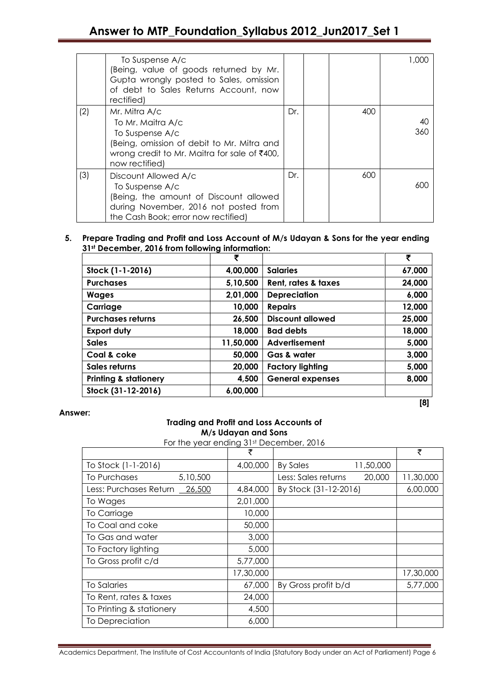|     | To Suspense A/c<br>(Being, value of goods returned by Mr.<br>Gupta wrongly posted to Sales, omission<br>of debt to Sales Returns Account, now<br>rectified)           |     |     | 1.000     |
|-----|-----------------------------------------------------------------------------------------------------------------------------------------------------------------------|-----|-----|-----------|
| (2) | Mr. Mitra A/c<br>To Mr. Maitra A/c<br>To Suspense A/c<br>(Being, omission of debit to Mr. Mitra and<br>wrong credit to Mr. Maitra for sale of ₹400,<br>now rectified) | Dr. | 400 | 40<br>360 |
| (3) | Discount Allowed A/c<br>To Suspense A/c<br>(Being, the amount of Discount allowed<br>during November, 2016 not posted from<br>the Cash Book; error now rectified)     | Dr. | 600 | 600       |

# **5. Prepare Trading and Profit and Loss Account of M/s Udayan & Sons for the year ending 31st December, 2016 from following information:**

|                                  | ₹         |                         | ₹      |
|----------------------------------|-----------|-------------------------|--------|
| Stock (1-1-2016)                 | 4,00,000  | <b>Salaries</b>         | 67,000 |
| <b>Purchases</b>                 | 5,10,500  | Rent, rates & taxes     | 24,000 |
| <b>Wages</b>                     | 2,01,000  | <b>Depreciation</b>     | 6,000  |
| Carriage                         | 10,000    | <b>Repairs</b>          | 12,000 |
| <b>Purchases returns</b>         | 26,500    | <b>Discount allowed</b> | 25,000 |
| <b>Export duty</b>               | 18,000    | <b>Bad debts</b>        | 18,000 |
| <b>Sales</b>                     | 11,50,000 | Advertisement           | 5,000  |
| Coal & coke                      | 50,000    | Gas & water             | 3,000  |
| Sales returns                    | 20,000    | <b>Factory lighting</b> | 5,000  |
| <b>Printing &amp; stationery</b> | 4,500     | <b>General expenses</b> | 8,000  |
| Stock (31-12-2016)               | 6,00,000  |                         |        |
|                                  |           |                         | [8]    |

**Answer:**

# **Trading and Profit and Loss Accounts of M/s Udayan and Sons**

For the year ending 31st December, 2016

|                                  | ₹         |                               | ₹         |
|----------------------------------|-----------|-------------------------------|-----------|
| To Stock (1-1-2016)              | 4,00,000  | <b>By Sales</b><br>11,50,000  |           |
| 5,10,500<br>To Purchases         |           | 20,000<br>Less: Sales returns | 11,30,000 |
| Less: Purchases Return<br>26,500 | 4,84,000  | By Stock (31-12-2016)         | 6,00,000  |
| To Wages                         | 2,01,000  |                               |           |
| To Carriage                      | 10,000    |                               |           |
| To Coal and coke                 | 50,000    |                               |           |
| To Gas and water                 | 3,000     |                               |           |
| To Factory lighting              | 5,000     |                               |           |
| To Gross profit c/d              | 5,77,000  |                               |           |
|                                  | 17,30,000 |                               | 17,30,000 |
| <b>To Salaries</b>               | 67,000    | By Gross profit b/d           | 5,77,000  |
| To Rent, rates & taxes           | 24,000    |                               |           |
| To Printing & stationery         | 4,500     |                               |           |
| To Depreciation                  | 6,000     |                               |           |

Academics Department, The Institute of Cost Accountants of India (Statutory Body under an Act of Parliament) Page 6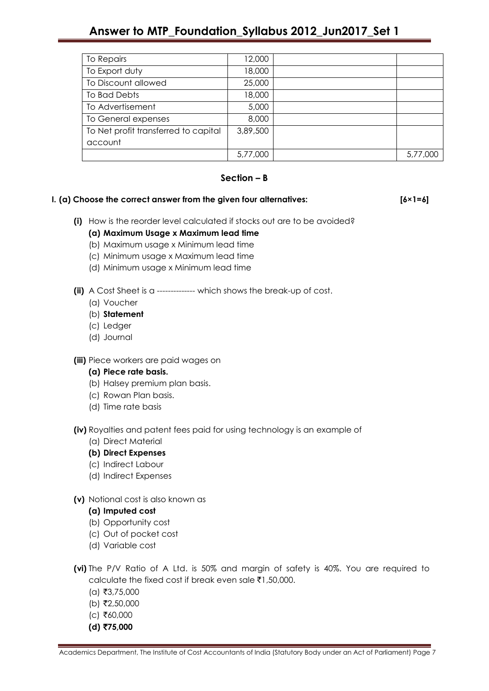# **Answer to MTP\_Foundation\_Syllabus 2012\_Jun2017\_Set 1**

| To Repairs                           | 12,000   |          |
|--------------------------------------|----------|----------|
| To Export duty                       | 18,000   |          |
| To Discount allowed                  | 25,000   |          |
| To Bad Debts                         | 18,000   |          |
| To Advertisement                     | 5,000    |          |
| To General expenses                  | 8,000    |          |
| To Net profit transferred to capital | 3,89,500 |          |
| account                              |          |          |
|                                      | 5,77,000 | 5,77,000 |

# **Section – B**

# **I. (a) Choose the correct answer from the given four alternatives: [6×1=6]**

- **(i)** How is the reorder level calculated if stocks out are to be avoided?
	- **(a) Maximum Usage x Maximum lead time**
	- (b) Maximum usage x Minimum lead time
	- (c) Minimum usage x Maximum lead time
	- (d) Minimum usage x Minimum lead time
- **(ii)** A Cost Sheet is a -------------- which shows the break-up of cost.
	- (a) Voucher
	- (b) **Statement**
	- (c) Ledger
	- (d) Journal
- **(iii)** Piece workers are paid wages on

# **(a) Piece rate basis.**

- (b) Halsey premium plan basis.
- (c) Rowan Plan basis.
- (d) Time rate basis

**(iv)** Royalties and patent fees paid for using technology is an example of

- (a) Direct Material
- **(b) Direct Expenses**
- (c) Indirect Labour
- (d) Indirect Expenses
- **(v)** Notional cost is also known as
	- **(a) Imputed cost**
	- (b) Opportunity cost
	- (c) Out of pocket cost
	- (d) Variable cost
- **(vi)** The P/V Ratio of A Ltd. is 50% and margin of safety is 40%. You are required to calculate the fixed cost if break even sale  $\bar{\tau}$ 1,50,000.
	- $(a)$  ₹3,75,000
	- $(b)$  ₹2,50,000
	- $(c)$  ₹60,000
	- **(d)** `**75,000**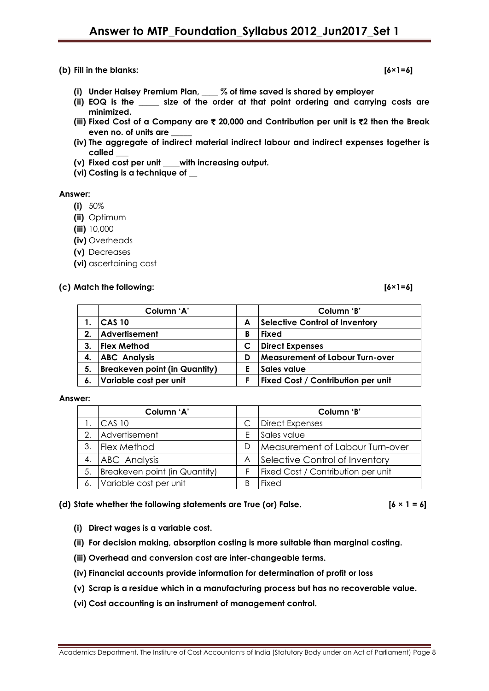# **(b) Fill in the blanks: [6×1=6]**

- **(i) Under Halsey Premium Plan, \_\_\_\_ % of time saved is shared by employer**
- **(ii) EOQ is the \_\_\_\_\_ size of the order at that point ordering and carrying costs are minimized.**
- **(iii) Fixed Cost of a Company are** ` **20,000 and Contribution per unit is** `**2 then the Break even no. of units are \_\_\_\_\_**
- **(iv) The aggregate of indirect material indirect labour and indirect expenses together is called \_\_\_**
- **(v) Fixed cost per unit \_\_\_\_with increasing output.**
- **(vi) Costing is a technique of \_\_**

### **Answer:**

- **(i)** 50%
- **(ii)** Optimum
- **(iii)** 10,000
- **(iv)** Overheads
- **(v)** Decreases
- **(vi)** ascertaining cost

# **(c) Match the following: [6×1=6]**

|    | Column 'A'                           |   | Column 'B'                             |
|----|--------------------------------------|---|----------------------------------------|
|    | <b>CAS 10</b>                        | A | <b>Selective Control of Inventory</b>  |
| 2. | Advertisement                        | В | Fixed                                  |
| 3. | <b>Flex Method</b>                   |   | <b>Direct Expenses</b>                 |
|    | <b>ABC Analysis</b>                  | D | <b>Measurement of Labour Turn-over</b> |
| 5. | <b>Breakeven point (in Quantity)</b> |   | Sales value                            |
| 6. | Variable cost per unit               |   | Fixed Cost / Contribution per unit     |

### **Answer:**

|    | Column 'A'                    |   | Column 'B'                         |
|----|-------------------------------|---|------------------------------------|
|    | <b>CAS 10</b>                 |   | <b>Direct Expenses</b>             |
| 2. | Advertisement                 |   | Sales value                        |
| 3. | <b>Flex Method</b>            |   | Measurement of Labour Turn-over    |
| 4. | ABC Analysis                  | A | Selective Control of Inventory     |
| 5. | Breakeven point (in Quantity) |   | Fixed Cost / Contribution per unit |
| 6. | Variable cost per unit        |   | Fixed                              |

### **(d) State whether the following statements are True (or) False. [6 × 1 = 6]**

- **(i) Direct wages is a variable cost.**
- **(ii) For decision making, absorption costing is more suitable than marginal costing.**
- **(iii) Overhead and conversion cost are inter-changeable terms.**
- **(iv) Financial accounts provide information for determination of profit or loss**
- **(v) Scrap is a residue which in a manufacturing process but has no recoverable value.**
- **(vi) Cost accounting is an instrument of management control.**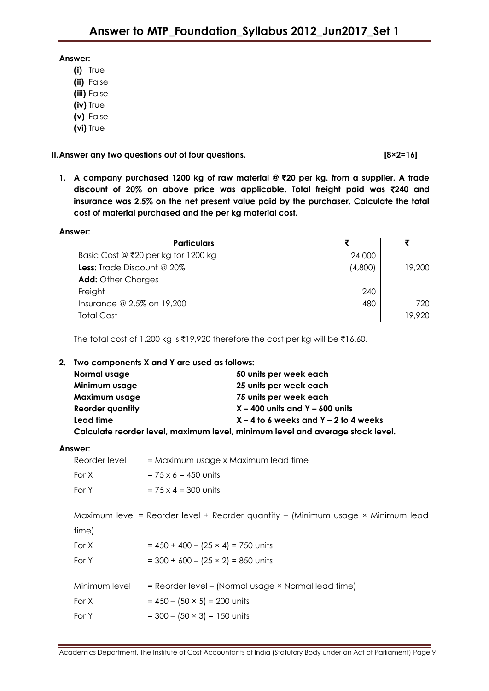# **Answer:**

- **(i)** True
- **(ii)** False
- **(iii)** False
- **(iv)** True
- **(v)** False
- **(vi)** True

**II.Answer any two questions out of four questions. [8×2=16]**

**1. A company purchased 1200 kg of raw material @** `**20 per kg. from a supplier. A trade discount of 20% on above price was applicable. Total freight paid was** `**240 and insurance was 2.5% on the net present value paid by the purchaser. Calculate the total cost of material purchased and the per kg material cost.**

# **Answer:**

| <b>Particulars</b>                    |         |        |
|---------------------------------------|---------|--------|
| Basic Cost $@$ ₹20 per kg for 1200 kg | 24,000  |        |
| <b>Less:</b> Trade Discount @ 20%     | (4,800) | 19,200 |
| <b>Add:</b> Other Charges             |         |        |
| Freight                               | 240     |        |
| Insurance @ 2.5% on 19,200            | 480     | 720    |
| <b>Total Cost</b>                     |         | 19.920 |

The total cost of 1,200 kg is  $\overline{519,920}$  therefore the cost per kg will be  $\overline{516.60}$ .

# **2. Two components X and Y are used as follows:**

| Normal usage            | 50 units per week each                                                         |
|-------------------------|--------------------------------------------------------------------------------|
| Minimum usage           | 25 units per week each                                                         |
| Maximum usage           | 75 units per week each                                                         |
| <b>Reorder quantity</b> | $X - 400$ units and $Y - 600$ units                                            |
| Lead time               | $X - 4$ to 6 weeks and $Y - 2$ to 4 weeks                                      |
|                         | Calculate reorder level, maximum level, minimum level and average stock level. |

# **Answer:**

| Reorder level | = Maximum usage x Maximum lead time                                              |
|---------------|----------------------------------------------------------------------------------|
| For X         | $= 75 \times 6 = 450$ units                                                      |
| For Y         | $= 75 \times 4 = 300$ units                                                      |
|               |                                                                                  |
|               | Maximum level = Reorder level + Reorder quantity - (Minimum usage × Minimum lead |
| time)         |                                                                                  |
| For X         | $= 450 + 400 - (25 \times 4) = 750$ units                                        |
| For Y         | $=$ 300 + 600 - (25 × 2) = 850 units                                             |
|               |                                                                                  |
| Minimum level | = Reorder level - (Normal usage × Normal lead time)                              |
| For X         | $= 450 - (50 \times 5) = 200$ units                                              |
| For Y         | $=$ 300 - (50 $\times$ 3) = 150 units                                            |